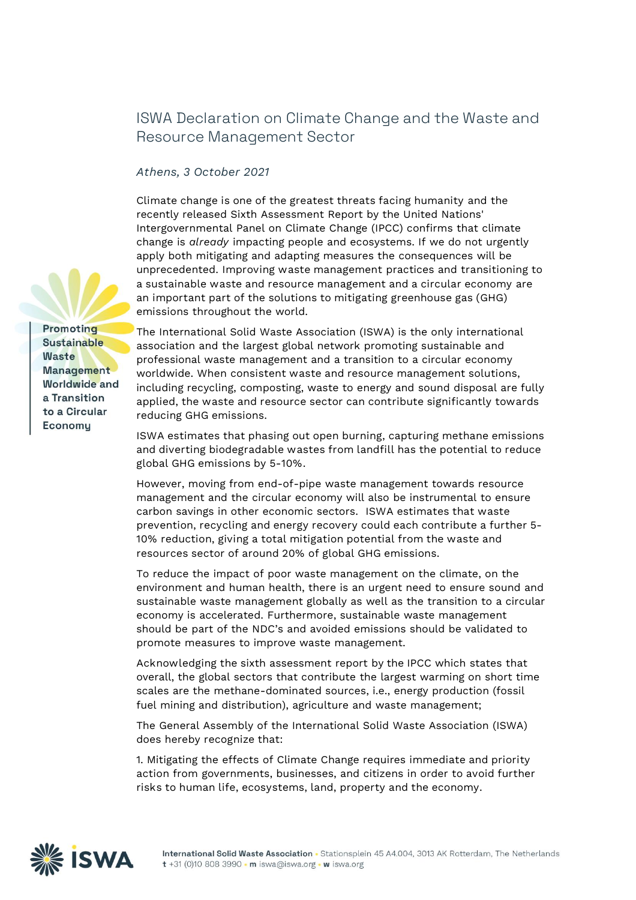## **ISWA Declaration on Climate Change and the Waste and Resource Management Sector**

## *Athens, 3 October 2021*

**Climate change is one of the greatest threats facing humanity** and the recently released Sixth Assessment Report by the United Nations' Intergovernmental Panel on Climate Change (IPCC) confirms that climate change is *already* impacting people and ecosystems. If we do not urgently apply both mitigating and adapting measures the consequences will be unprecedented. **Improving waste management** practices and **transitioning to a sustainable waste and resource management and a circular economy** are an **important part of the solutions to mitigating greenhouse gas (GHG) emissions** throughout the world.

Promoting **Sustainable Waste Management Worldwide** and a Transition to a Circular Economy

The International Solid Waste Association (ISWA) is the only international association and the largest global network promoting sustainable and professional waste management and a transition to a circular economy worldwide. When **consistent waste and resource management solutions**, including recycling, composting, waste to energy and sound disposal **are fully applied, the waste and resource sector can contribute significantly towards reducing GHG emissions.**

**ISWA estimates that phasing out open burning, capturing methane emissions and diverting biodegradable wastes from landfill has the potential to reduce global GHG emissions by 5-10%.**

However, moving from end-of-pipe waste management towards resource management and the circular economy will also be instrumental to ensure carbon savings in other economic sectors. **ISWA estimates that waste prevention, recycling and energy recovery could each contribute a further 5- 10% reduction, giving a total mitigation potential from the waste and resources sector of around 20% of global GHG emissions.**

To reduce the impact of poor waste management on the climate, on the environment and human health, there is an urgent need to ensure sound and sustainable waste management globally as well as the transition to a circular economy is accelerated. Furthermore, sustainable waste management should be part of the NDC's and avoided emissions should be validated to promote measures to improve waste management.

**Acknowledging the** sixth assessment report by the IPCC which states that overall, the global sectors that contribute the largest warming on short time scales are the methane-dominated sources, i.e., energy production (fossil fuel mining and distribution), agriculture and waste management;

The General Assembly of the International Solid Waste Association (ISWA) does hereby **recognize that:**

1. Mitigating the effects of Climate Change requires **immediate and priority action** from governments, businesses, and citizens in order **to avoid further risks to human life, ecosystems, land, property and the economy**.

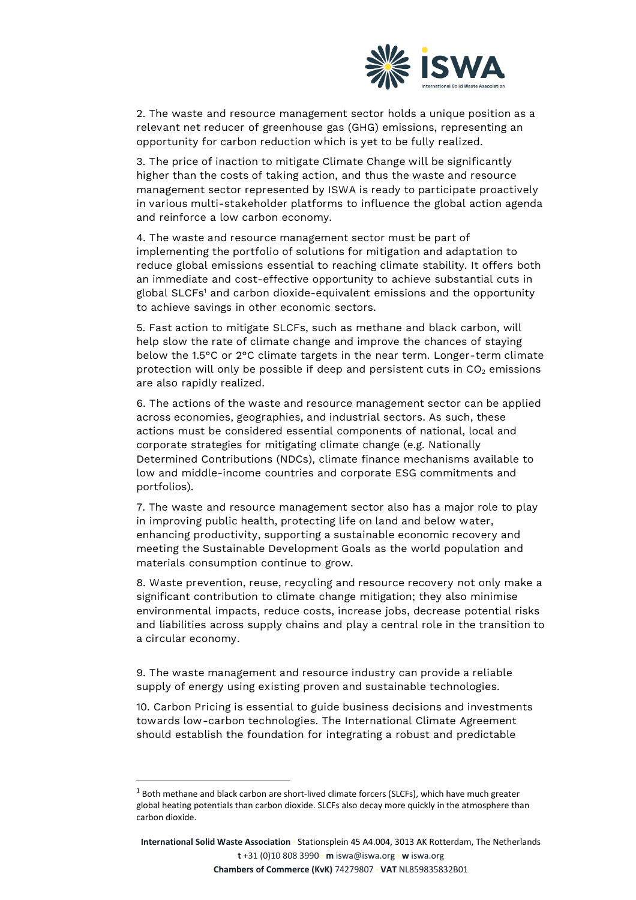

2. The waste and resource management sector holds **a unique position as a relevant net reducer** of greenhouse gas (GHG) emissions, representing **an opportunity for carbon reduction which is yet to be fully realized.**

3. **The price of inaction to mitigate Climate Change will be significantly higher than the costs of taking action,** and thus **the waste and resource management sector represented by ISWA is ready to participate proactively in various multi-stakeholder platforms** to influence the global action agenda and reinforce a low carbon economy.

4. **The waste and resource management sector must be part of implementing the portfolio of solutions for mitigation and adaptation to reduce** global emissions essential to reaching climate stability. It offers both an immediate and cost-effective opportunity to achieve substantial cuts in global SLCFs<sup>1</sup> and carbon dioxide-equivalent emissions and the opportunity to achieve savings in other economic sectors.

5. **Fast action** to mitigate SLCFs, such as methane and black carbon, will help **slow the rate of climate change** and improve the chances of staying below the 1.5°C or 2°C climate targets in the near term. **Longer-term climate** protection will only be possible if deep and persistent cuts in CO<sub>2</sub> emissions are also rapidly realized.

6. **The actions of the waste and resource management sector can be applied across economies, geographies, and industrial sectors**. As such, these actions must be considered essential components of national, local and corporate strategies for mitigating climate change (e.g. Nationally Determined Contributions (NDCs), climate finance mechanisms available to low and middle-income countries and corporate ESG commitments and portfolios).

7. The waste and resource management sector also has a major role to play in **improving public health, protecting life on land and below water, enhancing productivity, supporting a sustainable economic recovery and meeting the Sustainable Development Goals** as the world population and materials consumption continue to grow.

8. **Waste prevention, reuse, recycling and resource recovery** not only make a significant contribution to climate change mitigation; they also minimise environmental impacts, reduce costs, increase jobs, decrease potential risks and liabilities across supply chains and **play a central role in the transition to a circular economy**.

9. **The waste management and resource industry can provide a reliable supply of energy using existing proven and sustainable technologies**.

10. **Carbon Pricing is essential to guide business decisions and investments towards low-carbon technologies**. The International Climate Agreement should establish the foundation for integrating a robust and predictable

 $1$  Both methane and black carbon are short-lived climate forcers (SLCFs), which have much greater global heating potentials than carbon dioxide. SLCFs also decay more quickly in the atmosphere than carbon dioxide.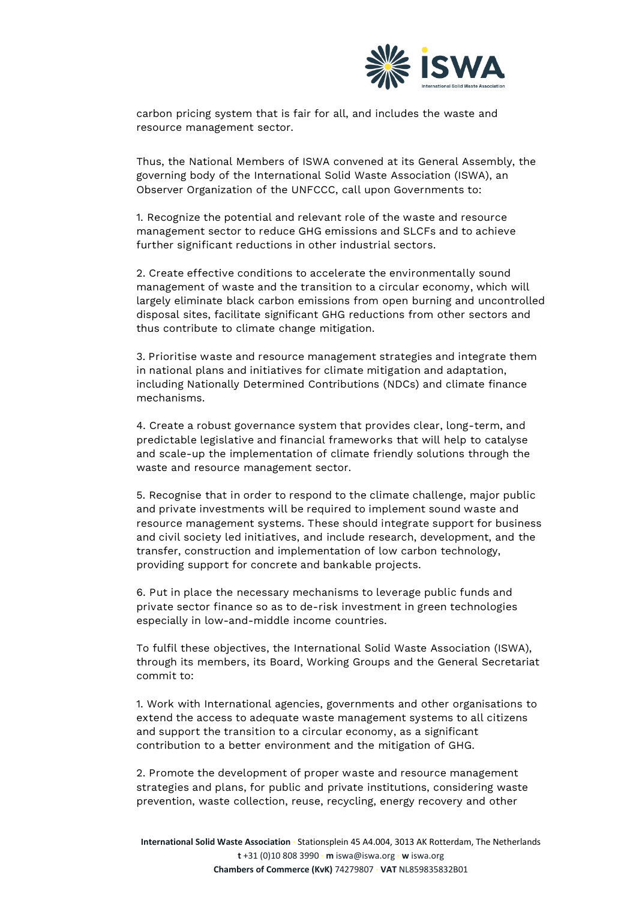

carbon pricing system that is fair for all, and includes the waste and resource management sector**.**

Thus, the National Members of ISWA convened at its General Assembly, the governing body of the International Solid Waste Association (ISWA), an Observer Organization of the UNFCCC, **call upon Governments to:**

1. **Recognize the potential and relevant role of the waste and resource management sector to reduce GHG emissions and SLCFs and to achieve further significant reductions in other industrial sectors.**

**2. Create effective conditions to accelerate the environmentally sound management of waste and the transition to a circular economy,** which will largely eliminate black carbon emissions from open burning and uncontrolled disposal sites, facilitate significant GHG reductions from other sectors and thus contribute to climate change mitigation.

3. **Prioritise waste and resource management strategies and integrate them in national plans and initiatives for climate mitigation and adaptation**, including Nationally Determined Contributions (NDCs) and climate finance mechanisms.

4. **Create a robust governance system that provides clear, long-term, and predictable legislative and financial frameworks** that will help to catalyse and scale-up the implementation of climate friendly solutions through the waste and resource management sector.

5. Recognise that **in order to respond to the climate challenge, major public and private investments will be required to implement sound waste and resource management systems. These should integrate support for business and civil society led initiatives,** and include research, development, and the transfer, construction and implementation of low carbon technology, providing **support for concrete and bankable projects**.

6. **Put in place** the necessary **mechanisms to leverage public funds and private sector finance so as to de-risk investment in green technologies** especially in low-and-middle income countries.

To fulfil these objectives, the International Solid Waste Association (ISWA), through its members, its Board, Working Groups and the General Secretariat **commit to:**

1. Work with International agencies, governments and other organisations to **extend the access to adequate waste management systems to all citizens and support the transition to a circular economy,** as a significant contribution to a better environment and the mitigation of GHG.

**2. Promote the development of proper waste and resource management strategies and plans**, for public and private institutions, considering waste prevention, waste collection, reuse, recycling, energy recovery and other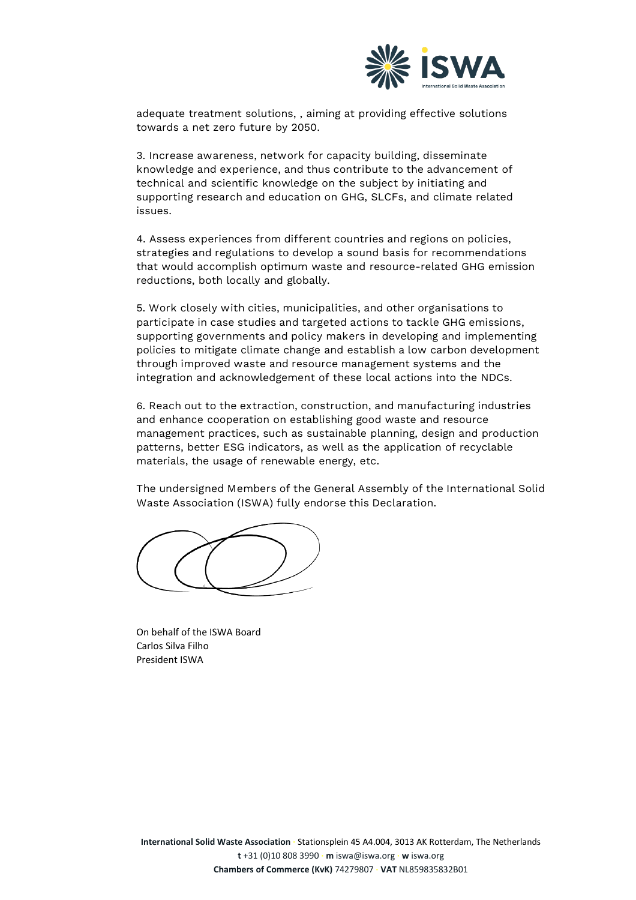

adequate treatment solutions, , aiming at providing effective solutions towards a net zero future by 2050.

3. **Increase awareness, network for capacity building, disseminate knowledge and experience, and thus contribute to the advancement** of technical and scientific knowledge on the subject **by initiating and supporting research and education** on GHG, SLCFs, and climate related issues.

4. **Assess experiences from different countries and regions on policies, strategies and regulations** to develop a sound basis for recommendations that would accomplish optimum waste and resource-related GHG emission reductions, both locally and globally.

5. **Work closely with cities, municipalities, and other organisations to participate in case studies and targeted actions to tackle GHG emissions, supporting governments and policy makers** in developing and implementing policies to mitigate climate change and **establish a low carbon development through improved waste and resource management systems** and the integration and acknowledgement of these local actions into the NDCs.

6. **Reach out to the extraction, construction, and manufacturing industries** and enhance cooperation on establishing good waste and resource management practices, such as sustainable planning, design and production patterns, better ESG indicators, as well as the application of recyclable materials, the usage of renewable energy, etc.

**The undersigned Members of the General Assembly of the International Solid Waste Association (ISWA) fully endorse this Declaration.**

On behalf of the ISWA Board Carlos Silva Filho President ISWA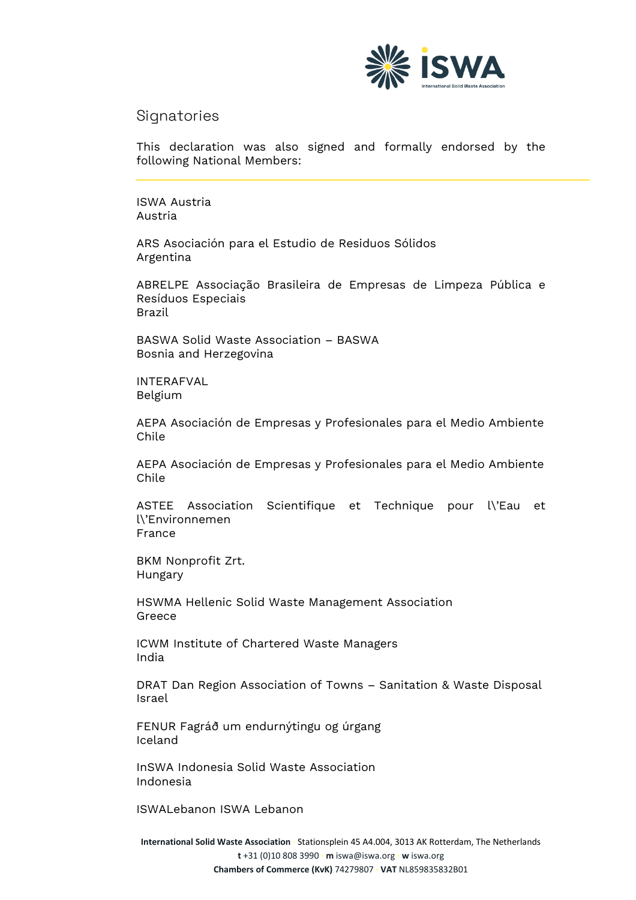

## **Signatories**

This declaration was also signed and formally endorsed by the following National Members:

ISWA Austria Austria

ARS Asociación para el Estudio de Residuos Sólidos Argentina

ABRELPE Associação Brasileira de Empresas de Limpeza Pública e Resíduos Especiais Brazil

BASWA Solid Waste Association – BASWA Bosnia and Herzegovina

INTERAFVAL Belgium

AEPA Asociación de Empresas y Profesionales para el Medio Ambiente Chile

AEPA Asociación de Empresas y Profesionales para el Medio Ambiente Chile

ASTEE Association Scientifique et Technique pour l\'Eau et l\'Environnemen France

BKM Nonprofit Zrt. Hungary

HSWMA Hellenic Solid Waste Management Association Greece

ICWM Institute of Chartered Waste Managers India

DRAT Dan Region Association of Towns – Sanitation & Waste Disposal Israel

FENUR Fagráð um endurnýtingu og úrgang Iceland

InSWA Indonesia Solid Waste Association Indonesia

ISWALebanon ISWA Lebanon

**International Solid Waste Association ∙** Stationsplein 45 A4.004, 3013 AK Rotterdam, The Netherlands **t** +31 (0)10 808 3990 **∙ m** iswa@iswa.org **∙ w** iswa.org **Chambers of Commerce (KvK)** 74279807 **∙ VAT** NL859835832B01